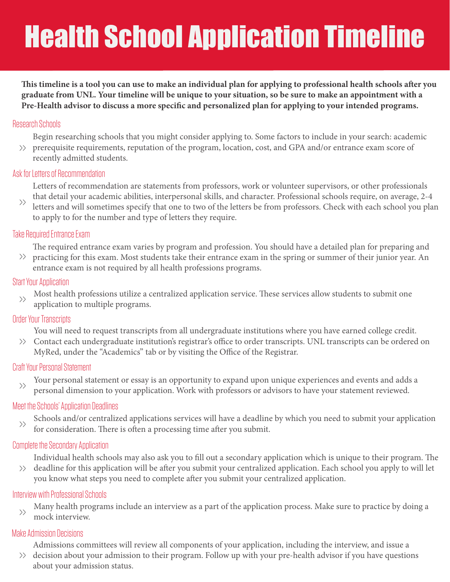## Health School Application Timeline

This timeline is a tool you can use to make an individual plan for applying to professional health schools after you **graduate from UNL. Your timeline will be unique to your situation, so be sure to make an appointment with a**  Pre-Health advisor to discuss a more specific and personalized plan for applying to your intended programs.

#### Research Schools

Begin researching schools that you might consider applying to. Some factors to include in your search: academic >> prerequisite requirements, reputation of the program, location, cost, and GPA and/or entrance exam score of recently admitted students.

#### Ask for Letters of Recommendation

Letters of recommendation are statements from professors, work or volunteer supervisors, or other professionals that detail your academic abilities, interpersonal skills, and character. Professional schools require, on average, 2-4

letters and will sometimes specify that one to two of the letters be from professors. Check with each school you plan to apply to for the number and type of letters they require.  $\left\langle \right\rangle$ 

#### Take Required Entrance Exam

The required entrance exam varies by program and profession. You should have a detailed plan for preparing and

 $\gg$  practicing for this exam. Most students take their entrance exam in the spring or summer of their junior year. An entrance exam is not required by all health professions programs.

#### Start Your Application

Most health professions utilize a centralized application service. These services allow students to submit one application to multiple programs.  $\left\langle \right\rangle$ 

### Order Your Transcripts

You will need to request transcripts from all undergraduate institutions where you have earned college credit.

 $\gg$  Contact each undergraduate institution's registrar's office to order transcripts. UNL transcripts can be ordered on MyRed, under the "Academics" tab or by visiting the Office of the Registrar.

### Craft Your Personal Statement

Your personal statement or essay is an opportunity to expand upon unique experiences and events and adds a personal dimension to your application. Work with professors or advisors to have your statement reviewed.  $\left\langle \right\rangle$ 

### Meet the Schools' Application Deadlines

Schools and/or centralized applications services will have a deadline by which you need to submit your application for consideration. There is often a processing time after you submit.  $\rangle$ 

### Complete the Secondary Application

Individual health schools may also ask you to fill out a secondary application which is unique to their program. The

 $\gg$  deadline for this application will be after you submit your centralized application. Each school you apply to will let you know what steps you need to complete after you submit your centralized application.

#### Interview with Professional Schools

Many health programs include an interview as a part of the application process. Make sure to practice by doing a mock interview.  $\left\langle \right\rangle$ 

### Make Admission Decisions

Admissions committees will review all components of your application, including the interview, and issue a

decision about your admission to their program. Follow up with your pre-health advisor if you have questions >>about your admission status.